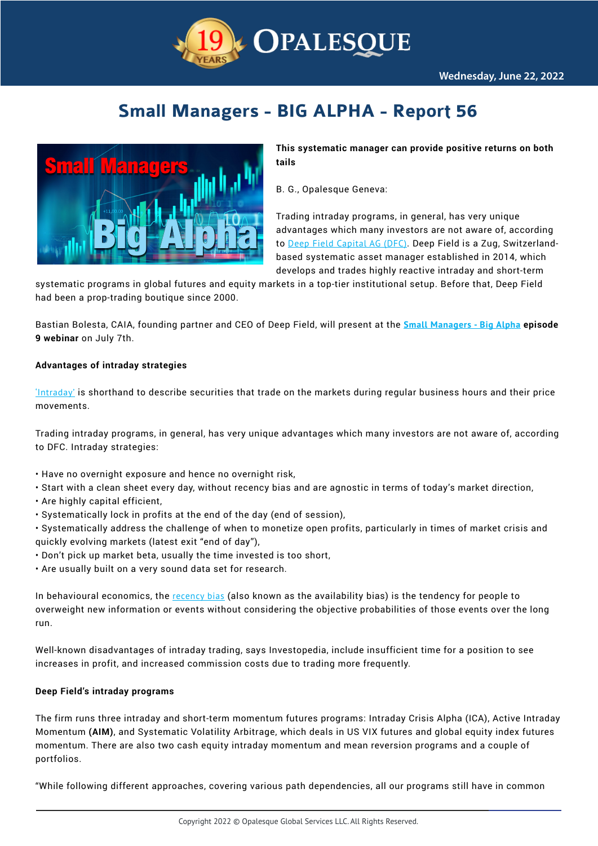

# **Small Managers - BIG ALPHA - Report 56**



**This systematic manager can provide positive returns on both tails**

B. G., Opalesque Geneva:

Trading intraday programs, in general, has very unique advantages which many investors are not aware of, according to [Deep Field Capital AG \(DFC\)](https://www.linkedin.com/company/deep-field-capital-ag/about/). Deep Field is a Zug, Switzerlandbased systematic asset manager established in 2014, which develops and trades highly reactive intraday and short-term

systematic programs in global futures and equity markets in a top-tier institutional setup. Before that, Deep Field had been a prop-trading boutique since 2000.

Bastian Bolesta, CAIA, founding partner and CEO of Deep Field, will present at the **[Small Managers - Big Alpha](https://www.opalesque.com/webinar/) episode 9 webinar** on July 7th.

## **Advantages of intraday strategies**

['Intraday'](https://www.investopedia.com/terms/i/intraday.asp) is shorthand to describe securities that trade on the markets during regular business hours and their price movements.

Trading intraday programs, in general, has very unique advantages which many investors are not aware of, according to DFC. Intraday strategies:

- Have no overnight exposure and hence no overnight risk,
- Start with a clean sheet every day, without recency bias and are agnostic in terms of today's market direction,
- Are highly capital efficient,
- Systematically lock in profits at the end of the day (end of session),
- Systematically address the challenge of when to monetize open profits, particularly in times of market crisis and quickly evolving markets (latest exit "end of day"),
- Don't pick up market beta, usually the time invested is too short,
- Are usually built on a very sound data set for research.

In behavioural economics, the [recency bias](https://www.investopedia.com/recency-availability-bias-5206686) (also known as the availability bias) is the tendency for people to overweight new information or events without considering the objective probabilities of those events over the long run.

Well-known disadvantages of intraday trading, says Investopedia, include insufficient time for a position to see increases in profit, and increased commission costs due to trading more frequently.

## **Deep Field's intraday programs**

The firm runs three intraday and short-term momentum futures programs: Intraday Crisis Alpha (ICA), Active Intraday Momentum **(AIM)**, and Systematic Volatility Arbitrage, which deals in US VIX futures and global equity index futures momentum. There are also two cash equity intraday momentum and mean reversion programs and a couple of portfolios.

"While following different approaches, covering various path dependencies, all our programs still have in common